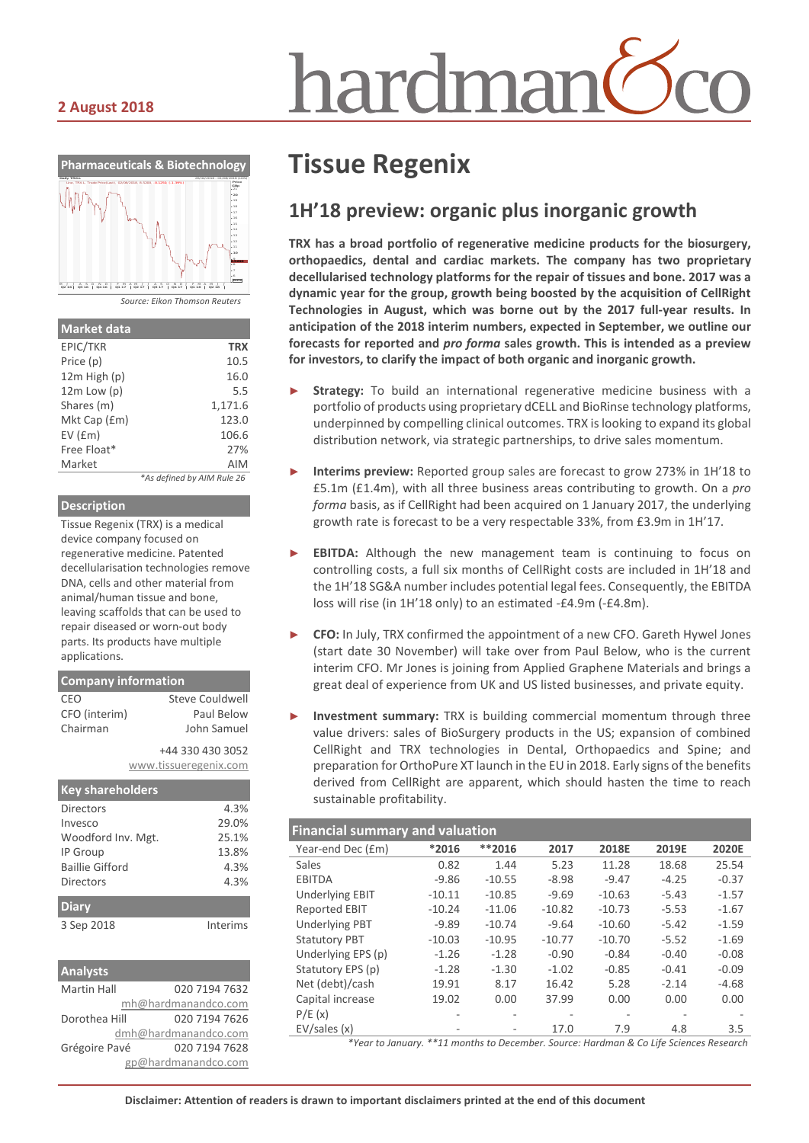# nardmar

#### **2 August 2018**



| <b>Market data</b> |                            |
|--------------------|----------------------------|
| EPIC/TKR           | <b>TRX</b>                 |
| Price (p)          | 10.5                       |
| 12m High (p)       | 16.0                       |
| $12m$ Low $(p)$    | 5.5                        |
| Shares (m)         | 1,171.6                    |
| Mkt Cap (£m)       | 123.0                      |
| $EV$ ( $Em$ )      | 106.6                      |
| Free Float*        | 27%                        |
| Market             | <b>AIM</b>                 |
|                    | *As defined by AIM Rule 26 |

#### **Description**

Tissue Regenix (TRX) is a medical device company focused on regenerative medicine. Patented decellularisation technologies remove DNA, cells and other material from animal/human tissue and bone, leaving scaffolds that can be used to repair diseased or worn-out body parts. Its products have multiple applications.

| <b>Company information</b> |                       |  |  |  |
|----------------------------|-----------------------|--|--|--|
| CEO                        | Steve Couldwell       |  |  |  |
| CFO (interim)              | Paul Below            |  |  |  |
| Chairman                   | John Samuel           |  |  |  |
|                            | +44 330 430 3052      |  |  |  |
|                            | www.tissueregenix.com |  |  |  |

| <b>Key shareholders</b> |          |
|-------------------------|----------|
| Directors               | 4.3%     |
| Invesco                 | 29.0%    |
| Woodford Inv. Mgt.      | 25.1%    |
| IP Group                | 13.8%    |
| Baillie Gifford         | 4.3%     |
| Directors               | 4.3%     |
| <b>Diary</b>            |          |
| 3 Sep 2018              | Interims |

| <b>Analysts</b>    |                      |
|--------------------|----------------------|
| <b>Martin Hall</b> | 020 7194 7632        |
|                    | mh@hardmanandco.com  |
| Dorothea Hill      | 020 7194 7626        |
|                    | dmh@hardmanandco.com |
| Grégoire Pavé      | 020 7194 7628        |
|                    | gp@hardmanandco.com  |

## **Tissue Regenix**

### **1H'18 preview: organic plus inorganic growth**

**TRX has a broad portfolio of regenerative medicine products for the biosurgery, orthopaedics, dental and cardiac markets. The company has two proprietary decellularised technology platforms for the repair of tissues and bone. 2017 was a dynamic year for the group, growth being boosted by the acquisition of CellRight Technologies in August, which was borne out by the 2017 full-year results. In anticipation of the 2018 interim numbers, expected in September, we outline our forecasts for reported and** *pro forma* **sales growth. This is intended as a preview for investors, to clarify the impact of both organic and inorganic growth.**

- Strategy: To build an international regenerative medicine business with a portfolio of products using proprietary dCELL and BioRinse technology platforms, underpinned by compelling clinical outcomes. TRX is looking to expand its global distribution network, via strategic partnerships, to drive sales momentum.
- ► **Interims preview:** Reported group sales are forecast to grow 273% in 1H'18 to £5.1m (£1.4m), with all three business areas contributing to growth. On a *pro forma* basis, as if CellRight had been acquired on 1 January 2017, the underlying growth rate is forecast to be a very respectable 33%, from £3.9m in 1H'17.
- **EBITDA:** Although the new management team is continuing to focus on controlling costs, a full six months of CellRight costs are included in 1H'18 and the 1H'18 SG&A number includes potential legal fees. Consequently, the EBITDA loss will rise (in 1H'18 only) to an estimated -£4.9m (-£4.8m).
- ► **CFO:** In July, TRX confirmed the appointment of a new CFO. Gareth Hywel Jones (start date 30 November) will take over from Paul Below, who is the current interim CFO. Mr Jones is joining from Applied Graphene Materials and brings a great deal of experience from UK and US listed businesses, and private equity.
- ► **Investment summary:** TRX is building commercial momentum through three value drivers: sales of BioSurgery products in the US; expansion of combined CellRight and TRX technologies in Dental, Orthopaedics and Spine; and preparation for OrthoPure XT launch in the EU in 2018. Early signs of the benefits derived from CellRight are apparent, which should hasten the time to reach sustainable profitability.

| <b>Financial summary and valuation</b> |          |          |          |          |         |         |
|----------------------------------------|----------|----------|----------|----------|---------|---------|
| Year-end Dec (£m)                      | *2016    | **2016   | 2017     | 2018E    | 2019E   | 2020E   |
| Sales                                  | 0.82     | 1.44     | 5.23     | 11.28    | 18.68   | 25.54   |
| <b>EBITDA</b>                          | $-9.86$  | $-10.55$ | $-8.98$  | $-9.47$  | $-4.25$ | $-0.37$ |
| <b>Underlying EBIT</b>                 | $-10.11$ | $-10.85$ | $-9.69$  | $-10.63$ | $-5.43$ | $-1.57$ |
| <b>Reported EBIT</b>                   | $-10.24$ | $-11.06$ | $-10.82$ | $-10.73$ | $-5.53$ | $-1.67$ |
| <b>Underlying PBT</b>                  | $-9.89$  | $-10.74$ | $-9.64$  | $-10.60$ | $-5.42$ | $-1.59$ |
| <b>Statutory PBT</b>                   | $-10.03$ | $-10.95$ | $-10.77$ | $-10.70$ | $-5.52$ | $-1.69$ |
| Underlying EPS (p)                     | $-1.26$  | $-1.28$  | $-0.90$  | $-0.84$  | $-0.40$ | $-0.08$ |
| Statutory EPS (p)                      | $-1.28$  | $-1.30$  | $-1.02$  | $-0.85$  | $-0.41$ | $-0.09$ |
| Net (debt)/cash                        | 19.91    | 8.17     | 16.42    | 5.28     | $-2.14$ | $-4.68$ |
| Capital increase                       | 19.02    | 0.00     | 37.99    | 0.00     | 0.00    | 0.00    |
| P/E(x)                                 |          |          |          |          |         |         |
| EV/sales(x)                            |          |          | 17.0     | 7.9      | 4.8     | 3.5     |
|                                        |          |          |          |          |         |         |

*\*Year to January. \*\*11 months to December. Source: Hardman & Co Life Sciences Research*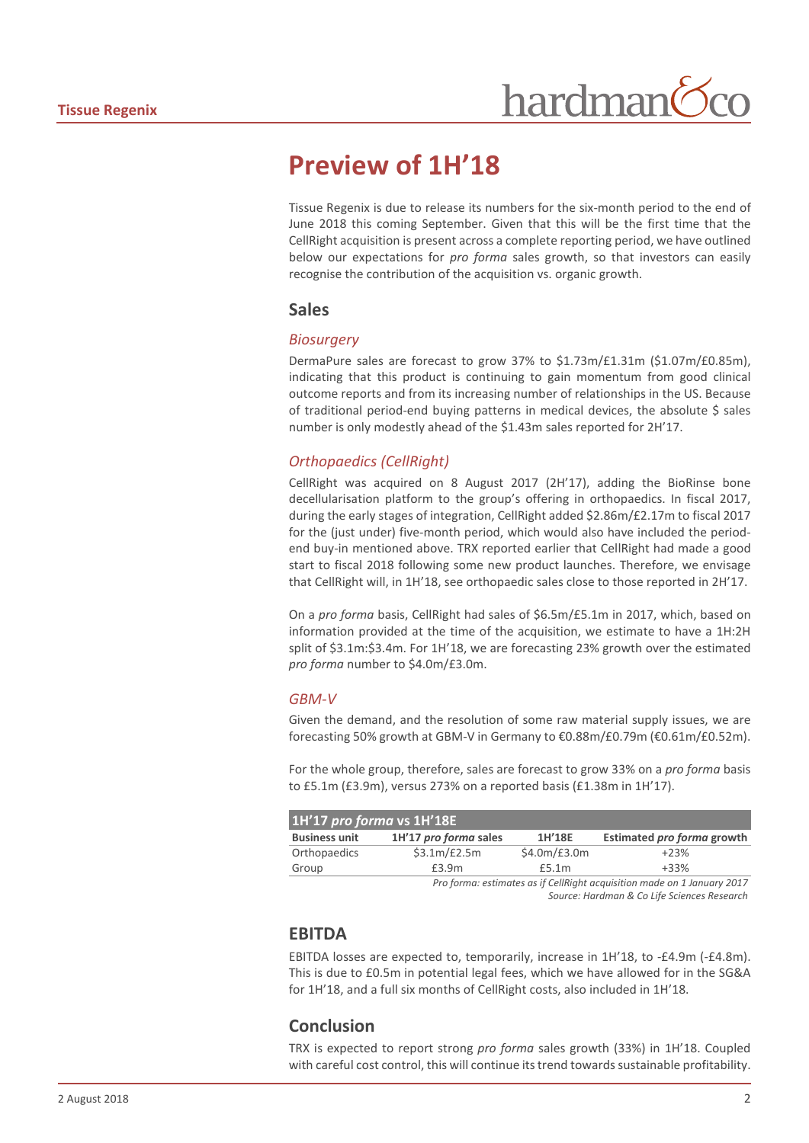## **Preview of 1H'18**

Tissue Regenix is due to release its numbers for the six-month period to the end of June 2018 this coming September. Given that this will be the first time that the CellRight acquisition is present across a complete reporting period, we have outlined below our expectations for *pro forma* sales growth, so that investors can easily recognise the contribution of the acquisition vs. organic growth.

#### **Sales**

#### *Biosurgery*

DermaPure sales are forecast to grow 37% to \$1.73m/£1.31m (\$1.07m/£0.85m), indicating that this product is continuing to gain momentum from good clinical outcome reports and from its increasing number of relationships in the US. Because of traditional period-end buying patterns in medical devices, the absolute  $\zeta$  sales number is only modestly ahead of the \$1.43m sales reported for 2H'17.

#### *Orthopaedics (CellRight)*

CellRight was acquired on 8 August 2017 (2H'17), adding the BioRinse bone decellularisation platform to the group's offering in orthopaedics. In fiscal 2017, during the early stages of integration, CellRight added \$2.86m/£2.17m to fiscal 2017 for the (just under) five-month period, which would also have included the periodend buy-in mentioned above. TRX reported earlier that CellRight had made a good start to fiscal 2018 following some new product launches. Therefore, we envisage that CellRight will, in 1H'18, see orthopaedic sales close to those reported in 2H'17.

On a *pro forma* basis, CellRight had sales of \$6.5m/£5.1m in 2017, which, based on information provided at the time of the acquisition, we estimate to have a 1H:2H split of \$3.1m:\$3.4m. For 1H'18, we are forecasting 23% growth over the estimated *pro forma* number to \$4.0m/£3.0m.

#### *GBM-V*

Given the demand, and the resolution of some raw material supply issues, we are forecasting 50% growth at GBM-V in Germany to €0.88m/£0.79m (€0.61m/£0.52m).

For the whole group, therefore, sales are forecast to grow 33% on a *pro forma* basis to £5.1m (£3.9m), versus 273% on a reported basis (£1.38m in 1H'17).

| 1H'17 pro forma vs 1H'18E |                       |              |                                                                                                                                                                                                                                                                                                                                                     |  |  |
|---------------------------|-----------------------|--------------|-----------------------------------------------------------------------------------------------------------------------------------------------------------------------------------------------------------------------------------------------------------------------------------------------------------------------------------------------------|--|--|
| <b>Business unit</b>      | 1H'17 pro forma sales | 1H'18E       | Estimated pro forma growth                                                                                                                                                                                                                                                                                                                          |  |  |
| Orthopaedics              | \$3.1m/E2.5m          | \$4.0m/E3.0m | $+23%$                                                                                                                                                                                                                                                                                                                                              |  |  |
| Group                     | £3.9m                 | £5.1m        | $+33%$                                                                                                                                                                                                                                                                                                                                              |  |  |
|                           |                       |              | $\overline{a}$ , $\overline{a}$ , $\overline{a}$ , $\overline{a}$ , $\overline{a}$ , $\overline{a}$ , $\overline{a}$ , $\overline{a}$ , $\overline{a}$ , $\overline{a}$ , $\overline{a}$ , $\overline{a}$ , $\overline{a}$ , $\overline{a}$ , $\overline{a}$ , $\overline{a}$ , $\overline{a}$ , $\overline{a}$ , $\overline{a}$ , $\overline{a}$ , |  |  |

*Pro forma: estimates as if CellRight acquisition made on 1 January 2017 Source: Hardman & Co Life Sciences Research*

#### **EBITDA**

EBITDA losses are expected to, temporarily, increase in 1H'18, to -£4.9m (-£4.8m). This is due to £0.5m in potential legal fees, which we have allowed for in the SG&A for 1H'18, and a full six months of CellRight costs, also included in 1H'18.

#### **Conclusion**

TRX is expected to report strong *pro forma* sales growth (33%) in 1H'18. Coupled with careful cost control, this will continue its trend towards sustainable profitability.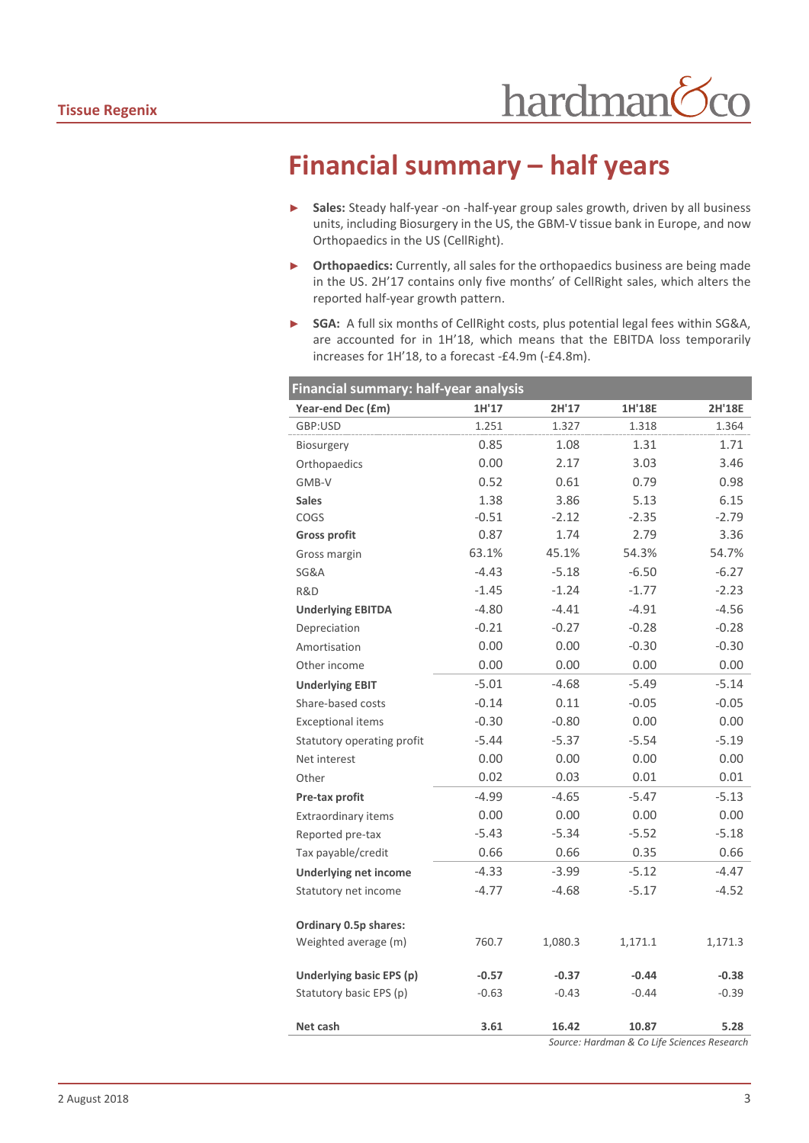## **Financial summary – half years**

- ► **Sales:** Steady half-year -on -half-year group sales growth, driven by all business units, including Biosurgery in the US, the GBM-V tissue bank in Europe, and now Orthopaedics in the US (CellRight).
- ► **Orthopaedics:** Currently, all sales for the orthopaedics business are being made in the US. 2H'17 contains only five months' of CellRight sales, which alters the reported half-year growth pattern.
- ► **SGA:** A full six months of CellRight costs, plus potential legal fees within SG&A, are accounted for in 1H'18, which means that the EBITDA loss temporarily increases for 1H'18, to a forecast -£4.9m (-£4.8m).

| Financial summary: half-year analysis |         |         |         |                                             |  |
|---------------------------------------|---------|---------|---------|---------------------------------------------|--|
| Year-end Dec (£m)                     | 1H'17   | 2H'17   | 1H'18E  | 2H'18E                                      |  |
| GBP:USD                               | 1.251   | 1.327   | 1.318   | 1.364                                       |  |
| <b>Biosurgery</b>                     | 0.85    | 1.08    | 1.31    | 1.71                                        |  |
| Orthopaedics                          | 0.00    | 2.17    | 3.03    | 3.46                                        |  |
| GMB-V                                 | 0.52    | 0.61    | 0.79    | 0.98                                        |  |
| <b>Sales</b>                          | 1.38    | 3.86    | 5.13    | 6.15                                        |  |
| COGS                                  | $-0.51$ | $-2.12$ | $-2.35$ | $-2.79$                                     |  |
| <b>Gross profit</b>                   | 0.87    | 1.74    | 2.79    | 3.36                                        |  |
| Gross margin                          | 63.1%   | 45.1%   | 54.3%   | 54.7%                                       |  |
| SG&A                                  | $-4.43$ | $-5.18$ | $-6.50$ | $-6.27$                                     |  |
| R&D                                   | $-1.45$ | $-1.24$ | $-1.77$ | $-2.23$                                     |  |
| <b>Underlying EBITDA</b>              | $-4.80$ | $-4.41$ | $-4.91$ | $-4.56$                                     |  |
| Depreciation                          | $-0.21$ | $-0.27$ | $-0.28$ | $-0.28$                                     |  |
| Amortisation                          | 0.00    | 0.00    | $-0.30$ | $-0.30$                                     |  |
| Other income                          | 0.00    | 0.00    | 0.00    | 0.00                                        |  |
| <b>Underlying EBIT</b>                | $-5.01$ | $-4.68$ | $-5.49$ | $-5.14$                                     |  |
| Share-based costs                     | $-0.14$ | 0.11    | $-0.05$ | $-0.05$                                     |  |
| <b>Exceptional items</b>              | $-0.30$ | $-0.80$ | 0.00    | 0.00                                        |  |
| Statutory operating profit            | $-5.44$ | $-5.37$ | $-5.54$ | $-5.19$                                     |  |
| Net interest                          | 0.00    | 0.00    | 0.00    | 0.00                                        |  |
| Other                                 | 0.02    | 0.03    | 0.01    | 0.01                                        |  |
| Pre-tax profit                        | $-4.99$ | $-4.65$ | $-5.47$ | $-5.13$                                     |  |
| Extraordinary items                   | 0.00    | 0.00    | 0.00    | 0.00                                        |  |
| Reported pre-tax                      | $-5.43$ | $-5.34$ | $-5.52$ | $-5.18$                                     |  |
| Tax payable/credit                    | 0.66    | 0.66    | 0.35    | 0.66                                        |  |
| <b>Underlying net income</b>          | $-4.33$ | $-3.99$ | $-5.12$ | $-4.47$                                     |  |
| Statutory net income                  | $-4.77$ | $-4.68$ | $-5.17$ | $-4.52$                                     |  |
| Ordinary 0.5p shares:                 |         |         |         |                                             |  |
| Weighted average (m)                  | 760.7   | 1,080.3 | 1,171.1 | 1,171.3                                     |  |
| Underlying basic EPS (p)              | $-0.57$ | $-0.37$ | $-0.44$ | $-0.38$                                     |  |
| Statutory basic EPS (p)               | $-0.63$ | $-0.43$ | $-0.44$ | $-0.39$                                     |  |
| Net cash                              | 3.61    | 16.42   | 10.87   | 5.28                                        |  |
|                                       |         |         |         | Source: Hardman & Co Life Sciences Research |  |